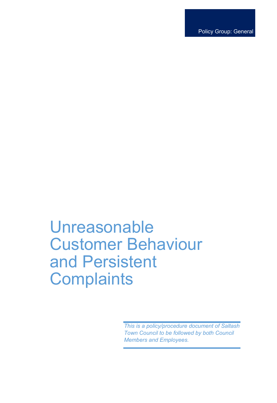# Unreasonable Customer Behaviour and Persistent **Complaints**

*This is a policy/procedure document of Saltash Town Council to be followed by both Council Members and Employees.*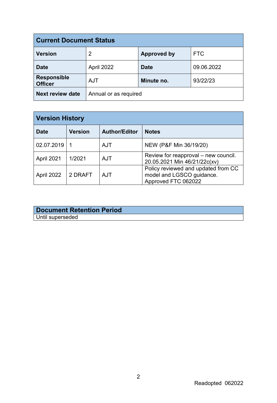| <b>Current Document Status</b>       |                       |                    |            |  |
|--------------------------------------|-----------------------|--------------------|------------|--|
| <b>Version</b>                       | 2                     | <b>Approved by</b> | <b>FTC</b> |  |
| <b>Date</b>                          | April 2022            | <b>Date</b>        | 09.06.2022 |  |
| <b>Responsible</b><br><b>Officer</b> | <b>AJT</b>            | Minute no.         | 93/22/23   |  |
| <b>Next review date</b>              | Annual or as required |                    |            |  |

| <b>Version History</b> |                |                      |                                                                                         |  |
|------------------------|----------------|----------------------|-----------------------------------------------------------------------------------------|--|
| <b>Date</b>            | <b>Version</b> | <b>Author/Editor</b> | <b>Notes</b>                                                                            |  |
| 02.07.2019             |                | <b>AJT</b>           | NEW (P&F Min 36/19/20)                                                                  |  |
| April 2021             | 1/2021         | <b>AJT</b>           | Review for reapproval – new council.<br>20.05.2021 Min 46/21/22c(xv)                    |  |
| April 2022             | 2 DRAFT        | <b>AJT</b>           | Policy reviewed and updated from CC<br>model and LGSCO guidance.<br>Approved FTC 062022 |  |

| <b>Document Retention Period</b> |
|----------------------------------|
| Until superseded                 |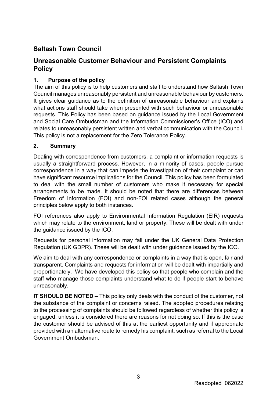## **Saltash Town Council**

## **Unreasonable Customer Behaviour and Persistent Complaints Policy**

### **1. Purpose of the policy**

The aim of this policy is to help customers and staff to understand how Saltash Town Council manages unreasonably persistent and unreasonable behaviour by customers. It gives clear guidance as to the definition of unreasonable behaviour and explains what actions staff should take when presented with such behaviour or unreasonable requests. This Policy has been based on guidance issued by the Local Government and Social Care Ombudsman and the Information Commissioner's Office (ICO) and relates to unreasonably persistent written and verbal communication with the Council. This policy is not a replacement for the Zero Tolerance Policy.

#### **2. Summary**

Dealing with correspondence from customers, a complaint or information requests is usually a straightforward process. However, in a minority of cases, people pursue correspondence in a way that can impede the investigation of their complaint or can have significant resource implications for the Council. This policy has been formulated to deal with the small number of customers who make it necessary for special arrangements to be made. It should be noted that there are differences between Freedom of Information (FOI) and non-FOI related cases although the general principles below apply to both instances.

FOI references also apply to Environmental Information Regulation (EIR) requests which may relate to the environment, land or property. These will be dealt with under the guidance issued by the ICO.

Requests for personal information may fall under the UK General Data Protection Regulation (UK GDPR). These will be dealt with under guidance issued by the ICO.

We aim to deal with any correspondence or complaints in a way that is open, fair and transparent. Complaints and requests for information will be dealt with impartially and proportionately. We have developed this policy so that people who complain and the staff who manage those complaints understand what to do if people start to behave unreasonably.

**IT SHOULD BE NOTED** – This policy only deals with the conduct of the customer, not the substance of the complaint or concerns raised. The adopted procedures relating to the processing of complaints should be followed regardless of whether this policy is engaged, unless it is considered there are reasons for not doing so. If this is the case the customer should be advised of this at the earliest opportunity and if appropriate provided with an alternative route to remedy his complaint, such as referral to the Local Government Ombudsman.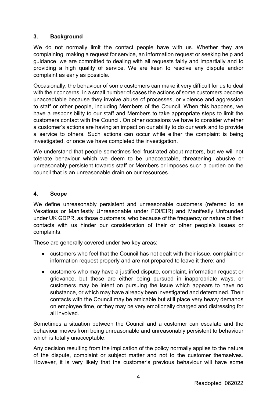#### **3. Background**

We do not normally limit the contact people have with us. Whether they are complaining, making a request for service, an information request or seeking help and guidance, we are committed to dealing with all requests fairly and impartially and to providing a high quality of service. We are keen to resolve any dispute and/or complaint as early as possible.

Occasionally, the behaviour of some customers can make it very difficult for us to deal with their concerns. In a small number of cases the actions of some customers become unacceptable because they involve abuse of processes, or violence and aggression to staff or other people, including Members of the Council. When this happens, we have a responsibility to our staff and Members to take appropriate steps to limit the customers contact with the Council. On other occasions we have to consider whether a customer's actions are having an impact on our ability to do our work and to provide a service to others. Such actions can occur while either the complaint is being investigated, or once we have completed the investigation.

We understand that people sometimes feel frustrated about matters, but we will not tolerate behaviour which we deem to be unacceptable, threatening, abusive or unreasonably persistent towards staff or Members or imposes such a burden on the council that is an unreasonable drain on our resources.

#### **4. Scope**

We define unreasonably persistent and unreasonable customers (referred to as Vexatious or Manifestly Unreasonable under FOI/EIR) and Manifestly Unfounded under UK GDPR, as those customers, who because of the frequency or nature of their contacts with us hinder our consideration of their or other people's issues or complaints.

These are generally covered under two key areas:

- customers who feel that the Council has not dealt with their issue, complaint or information request properly and are not prepared to leave it there; and
- customers who may have a justified dispute, complaint, information request or grievance, but these are either being pursued in inappropriate ways, or customers may be intent on pursuing the issue which appears to have no substance, or which may have already been investigated and determined. Their contacts with the Council may be amicable but still place very heavy demands on employee time, or they may be very emotionally charged and distressing for all involved.

Sometimes a situation between the Council and a customer can escalate and the behaviour moves from being unreasonable and unreasonably persistent to behaviour which is totally unacceptable.

Any decision resulting from the implication of the policy normally applies to the nature of the dispute, complaint or subject matter and not to the customer themselves. However, it is very likely that the customer's previous behaviour will have some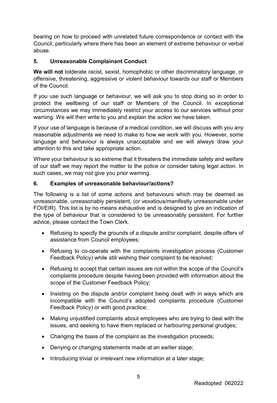bearing on how to proceed with unrelated future correspondence or contact with the Council, particularly where there has been an element of extreme behaviour or verbal abuse.

#### **5. Unreasonable Complainant Conduct**

**We will not** tolderate racist, sexist, homophobic or other discriminatory language, or offensive, threatening, aggressive or violent behaviour towards our staff or Members of the Council.

If you use such language or behaviour, we will ask you to stop doing so in order to protect the wellbeing of our staff or Members of the Council. In exceptional circumstances we may immediately restrict your access to our services without prior warning. We will then write to you and explain the action we have taken.

If your use of language is because of a medical condition, we will discuss with you any reasonable adjustments we need to make to how we work with you. However, some language and behaviour is always unacceptable and we will always draw your attention to this and take appropriate action.

Where your behaviour is so extreme that it threatens the immediate safety and welfare of our staff we may report the matter to the police or consider taking legal action. In such cases, we may not give you prior warning.

#### **6. Examples of unreasonable behaviour/actions?**

The following is a list of some actions and behaviours which may be deemed as unreasonable, unreasonably persistent, (or vexatious/manifestly unreasonable under FOI/EIR). This list is by no means exhaustive and is designed to give an indication of the type of behaviour that is considered to be unreasonably persistent. For further advice, please contact the Town Clerk.

- Refusing to specify the grounds of a dispute and/or complaint, despite offers of assistance from Council employees;
- Refusing to co-operate with the complaints investigation process (Customer Feedback Policy) while still wishing their complaint to be resolved;
- Refusing to accept that certain issues are not within the scope of the Council's complaints procedure despite having been provided with information about the scope of the Customer Feedback Policy;
- Insisting on the dispute and/or complaint being dealt with in ways which are incompatible with the Council's adopted complaints procedure (Customer Feedback Policy) or with good practice;
- Making unjustified complaints about employees who are trying to deal with the issues, and seeking to have them replaced or harbouring personal grudges;
- Changing the basis of the complaint as the investigation proceeds;
- Denying or changing statements made at an earlier stage;
- Introducing trivial or irrelevant new information at a later stage;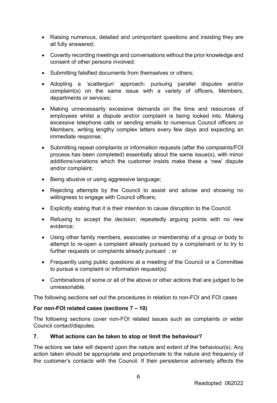- Raising numerous, detailed and unimportant questions and insisting they are all fully answered;
- Covertly recording meetings and conversations without the prior knowledge and consent of other persons involved;
- Submitting falsified documents from themselves or others;
- Adopting a 'scattergun' approach: pursuing parallel disputes and/or complaint(s) on the same issue with a variety of officers, Members, departments or services;
- Making unnecessarily excessive demands on the time and resources of employees whilst a dispute and/or complaint is being looked into. Making excessive telephone calls or sending emails to numerous Council officers or Members, writing lengthy complex letters every few days and expecting an immediate response;
- Submitting repeat complaints or information requests (after the complaints/FOI process has been completed) essentially about the same issue(s), with minor additions/variations which the customer insists make these a 'new' dispute and/or complaint;
- Being abusive or using aggressive language;
- Rejecting attempts by the Council to assist and advise and showing no willingness to engage with Council officers;
- Explicitly stating that it is their intention to cause disruption to the Council;
- Refusing to accept the decision; repeatedly arguing points with no new evidence;
- Using other family members, associates or membership of a group or body to attempt to re-open a complaint already pursued by a complainant or to try to further requests or complaints already pursued ; or
- Frequently using public questions at a meeting of the Council or a Committee to pursue a complaint or information request(s):
- Combinations of some or all of the above or other actions that are judged to be unreasonable.

The following sections set out the procedures in relation to non-FOI and FOI cases

#### **For non-FOI related cases (sections 7 – 10)**

The following sections cover non-FOI related issues such as complaints or wider Council contact/disputes.

#### **7. What actions can be taken to stop or limit the behaviour?**

The actions we take will depend upon the nature and extent of the behaviour(s). Any action taken should be appropriate and proportionate to the nature and frequency of the customer's contacts with the Council. If their persistence adversely affects the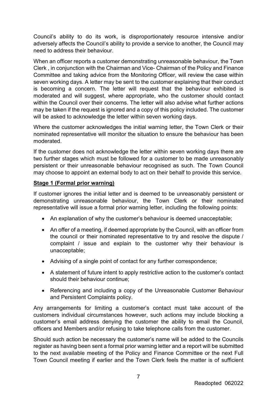Council's ability to do its work, is disproportionately resource intensive and/or adversely affects the Council's ability to provide a service to another, the Council may need to address their behaviour.

When an officer reports a customer demonstrating unreasonable behaviour, the Town Clerk , in conjunction with the Chairman and Vice- Chairman of the Policy and Finance Committee and taking advice from the Monitoring Officer, will review the case within seven working days. A letter may be sent to the customer explaining that their conduct is becoming a concern. The letter will request that the behaviour exhibited is moderated and will suggest, where appropriate, who the customer should contact within the Council over their concerns. The letter will also advise what further actions may be taken if the request is ignored and a copy of this policy included. The customer will be asked to acknowledge the letter within seven working days.

Where the customer acknowledges the initial warning letter, the Town Clerk or their nominated representative will monitor the situation to ensure the behaviour has been moderated.

If the customer does not acknowledge the letter within seven working days there are two further stages which must be followed for a customer to be made unreasonably persistent or their unreasonable behaviour recognised as such. The Town Council may choose to appoint an external body to act on their behalf to provide this service.

#### **Stage 1 (Formal prior warning)**

If customer ignores the initial letter and is deemed to be unreasonably persistent or demonstrating unreasonable behaviour, the Town Clerk or their nominated representative will issue a formal prior warning letter, including the following points:

- An explanation of why the customer's behaviour is deemed unacceptable;
- An offer of a meeting, if deemed appropriate by the Council, with an officer from the council or their nominated representative to try and resolve the dispute / complaint / issue and explain to the customer why their behaviour is unacceptable;
- Advising of a single point of contact for any further correspondence;
- A statement of future intent to apply restrictive action to the customer's contact should their behaviour continue;
- Referencing and including a copy of the Unreasonable Customer Behaviour and Persistent Complaints policy.

Any arrangements for limiting a customer's contact must take account of the customers individual circumstances however, such actions may include blocking a customer's email address denying the customer the ability to email the Council, officers and Members and/or refusing to take telephone calls from the customer.

Should such action be necessary the customer's name will be added to the Councils register as having been sent a formal prior warning letter and a report will be submitted to the next available meeting of the Policy and Finance Committee or the next Full Town Council meeting if earlier and the Town Clerk feels the matter is of sufficient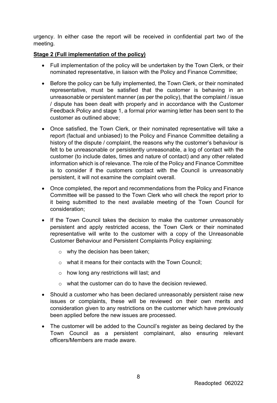urgency. In either case the report will be received in confidential part two of the meeting.

#### **Stage 2 (Full implementation of the policy)**

- Full implementation of the policy will be undertaken by the Town Clerk, or their nominated representative, in liaison with the Policy and Finance Committee;
- Before the policy can be fully implemented, the Town Clerk, or their nominated representative, must be satisfied that the customer is behaving in an unreasonable or persistent manner (as per the policy), that the complaint / issue / dispute has been dealt with properly and in accordance with the Customer Feedback Policy and stage 1, a formal prior warning letter has been sent to the customer as outlined above;
- Once satisfied, the Town Clerk, or their nominated representative will take a report (factual and unbiased) to the Policy and Finance Committee detailing a history of the dispute / complaint, the reasons why the customer's behaviour is felt to be unreasonable or persistently unreasonable, a log of contact with the customer (to include dates, times and nature of contact) and any other related information which is of relevance. The role of the Policy and Finance Committee is to consider if the customers contact with the Council is unreasonably persistent, it will not examine the complaint overall.
- Once completed, the report and recommendations from the Policy and Finance Committee will be passed to the Town Clerk who will check the report prior to it being submitted to the next available meeting of the Town Council for consideration;
- If the Town Council takes the decision to make the customer unreasonably persistent and apply restricted access, the Town Clerk or their nominated representative will write to the customer with a copy of the Unreasonable Customer Behaviour and Persistent Complaints Policy explaining:
	- $\circ$  why the decision has been taken;
	- o what it means for their contacts with the Town Council;
	- o how long any restrictions will last; and
	- o what the customer can do to have the decision reviewed.
- Should a customer who has been declared unreasonably persistent raise new issues or complaints, these will be reviewed on their own merits and consideration given to any restrictions on the customer which have previously been applied before the new issues are processed.
- The customer will be added to the Council's register as being declared by the Town Council as a persistent complainant, also ensuring relevant officers/Members are made aware.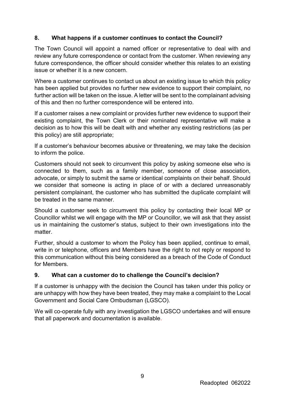#### **8. What happens if a customer continues to contact the Council?**

The Town Council will appoint a named officer or representative to deal with and review any future correspondence or contact from the customer. When reviewing any future correspondence, the officer should consider whether this relates to an existing issue or whether it is a new concern.

Where a customer continues to contact us about an existing issue to which this policy has been applied but provides no further new evidence to support their complaint, no further action will be taken on the issue. A letter will be sent to the complainant advising of this and then no further correspondence will be entered into.

If a customer raises a new complaint or provides further new evidence to support their existing complaint, the Town Clerk or their nominated representative will make a decision as to how this will be dealt with and whether any existing restrictions (as per this policy) are still appropriate;

If a customer's behaviour becomes abusive or threatening, we may take the decision to inform the police.

Customers should not seek to circumvent this policy by asking someone else who is connected to them, such as a family member, someone of close association, advocate, or simply to submit the same or identical complaints on their behalf. Should we consider that someone is acting in place of or with a declared unreasonably persistent complainant, the customer who has submitted the duplicate complaint will be treated in the same manner.

Should a customer seek to circumvent this policy by contacting their local MP or Councillor whilst we will engage with the MP or Councillor, we will ask that they assist us in maintaining the customer's status, subject to their own investigations into the matter.

Further, should a customer to whom the Policy has been applied, continue to email, write in or telephone, officers and Members have the right to not reply or respond to this communication without this being considered as a breach of the Code of Conduct for Members.

#### **9. What can a customer do to challenge the Council's decision?**

If a customer is unhappy with the decision the Council has taken under this policy or are unhappy with how they have been treated, they may make a complaint to the Local Government and Social Care Ombudsman (LGSCO).

We will co-operate fully with any investigation the LGSCO undertakes and will ensure that all paperwork and documentation is available.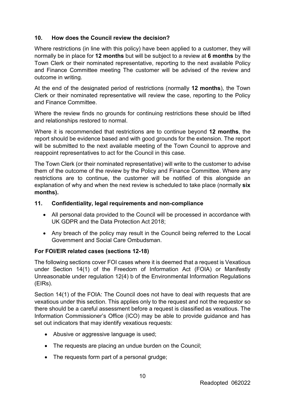#### **10. How does the Council review the decision?**

Where restrictions (in line with this policy) have been applied to a customer, they will normally be in place for **12 months** but will be subject to a review at **6 months** by the Town Clerk or their nominated representative, reporting to the next available Policy and Finance Committee meeting The customer will be advised of the review and outcome in writing.

At the end of the designated period of restrictions (normally **12 months**), the Town Clerk or their nominated representative will review the case, reporting to the Policy and Finance Committee.

Where the review finds no grounds for continuing restrictions these should be lifted and relationships restored to normal.

Where it is recommended that restrictions are to continue beyond **12 months**, the report should be evidence based and with good grounds for the extension. The report will be submitted to the next available meeting of the Town Council to approve and reappoint representatives to act for the Council in this case.

The Town Clerk (or their nominated representative) will write to the customer to advise them of the outcome of the review by the Policy and Finance Committee. Where any restrictions are to continue, the customer will be notified of this alongside an explanation of why and when the next review is scheduled to take place (normally **six months).** 

#### **11. Confidentiality, legal requirements and non-compliance**

- All personal data provided to the Council will be processed in accordance with UK GDPR and the Data Protection Act 2018;
- Any breach of the policy may result in the Council being referred to the Local Government and Social Care Ombudsman.

#### **For FOI/EIR related cases (sections 12-18)**

The following sections cover FOI cases where it is deemed that a request is Vexatious under Section 14(1) of the Freedom of Information Act (FOIA) or Manifestly Unreasonable under regulation 12(4) b of the Environmental Information Regulations (EIRs).

Section 14(1) of the FOIA: The Council does not have to deal with requests that are vexatious under this section. This applies only to the request and not the requestor so there should be a careful assessment before a request is classified as vexatious. The Information Commissioner's Office (ICO) may be able to provide guidance and has set out indicators that may identify vexatious requests:

- Abusive or aggressive language is used;
- The requests are placing an undue burden on the Council;
- The requests form part of a personal grudge;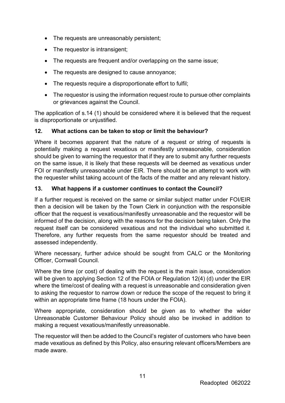- The requests are unreasonably persistent;
- The requestor is intransigent;
- The requests are frequent and/or overlapping on the same issue;
- The requests are designed to cause annoyance;
- The requests require a disproportionate effort to fulfil:
- The requestor is using the information request route to pursue other complaints or grievances against the Council.

The application of s.14 (1) should be considered where it is believed that the request is disproportionate or unjustified.

#### **12. What actions can be taken to stop or limit the behaviour?**

Where it becomes apparent that the nature of a request or string of requests is potentially making a request vexatious or manifestly unreasonable, consideration should be given to warning the requestor that if they are to submit any further requests on the same issue, it is likely that these requests will be deemed as vexatious under FOI or manifestly unreasonable under EIR. There should be an attempt to work with the requester whilst taking account of the facts of the matter and any relevant history.

#### **13. What happens if a customer continues to contact the Council?**

If a further request is received on the same or similar subject matter under FOI/EIR then a decision will be taken by the Town Clerk in conjunction with the responsible officer that the request is vexatious/manifestly unreasonable and the requestor will be informed of the decision, along with the reasons for the decision being taken. Only the request itself can be considered vexatious and not the individual who submitted it. Therefore, any further requests from the same requestor should be treated and assessed independently.

Where necessary, further advice should be sought from CALC or the Monitoring Officer, Cornwall Council.

Where the time (or cost) of dealing with the request is the main issue, consideration will be given to applying Section 12 of the FOIA or Regulation 12(4) (d) under the EIR where the time/cost of dealing with a request is unreasonable and consideration given to asking the requestor to narrow down or reduce the scope of the request to bring it within an appropriate time frame (18 hours under the FOIA).

Where appropriate, consideration should be given as to whether the wider Unreasonable Customer Behaviour Policy should also be invoked in addition to making a request vexatious/manifestly unreasonable.

The requestor will then be added to the Council's register of customers who have been made vexatious as defined by this Policy, also ensuring relevant officers/Members are made aware.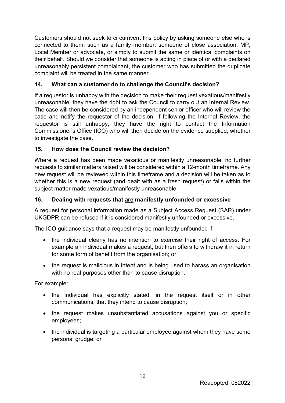Customers should not seek to circumvent this policy by asking someone else who is connected to them, such as a family member, someone of close association, MP, Local Member or advocate, or simply to submit the same or identical complaints on their behalf. Should we consider that someone is acting in place of or with a declared unreasonably persistent complainant, the customer who has submitted the duplicate complaint will be treated in the same manner.

#### **14. What can a customer do to challenge the Council's decision?**

If a requestor is unhappy with the decision to make their request vexatious/manifestly unreasonable, they have the right to ask the Council to carry out an Internal Review. The case will then be considered by an independent senior officer who will review the case and notify the requestor of the decision. If following the Internal Review, the requestor is still unhappy, they have the right to contact the Information Commissioner's Office (ICO) who will then decide on the evidence supplied, whether to investigate the case.

#### **15. How does the Council review the decision?**

Where a request has been made vexatious or manifestly unreasonable, no further requests to similar matters raised will be considered within a 12-month timeframe. Any new request will be reviewed within this timeframe and a decision will be taken as to whether this is a new request (and dealt with as a fresh request) or falls within the subject matter made vexatious/manifestly unreasonable.

#### **16. Dealing with requests that are manifestly unfounded or excessive**

A request for personal information made as a Subject Access Request (SAR) under UKGDPR can be refused if it is considered manifestly unfounded or excessive.

The ICO guidance says that a request may be manifestly unfounded if:

- the individual clearly has no intention to exercise their right of access. For example an individual makes a request, but then offers to withdraw it in return for some form of benefit from the organisation; or
- the request is malicious in intent and is being used to harass an organisation with no real purposes other than to cause disruption.

For example:

- the individual has explicitly stated, in the request itself or in other communications, that they intend to cause disruption;
- the request makes unsubstantiated accusations against you or specific employees;
- the individual is targeting a particular employee against whom they have some personal grudge; or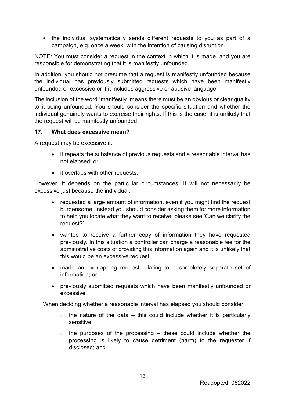• the individual systematically sends different requests to you as part of a campaign, e.g. once a week, with the intention of causing disruption.

NOTE: You must consider a request in the context in which it is made, and you are responsible for demonstrating that it is manifestly unfounded.

In addition, you should not presume that a request is manifestly unfounded because the individual has previously submitted requests which have been manifestly unfounded or excessive or if it includes aggressive or abusive language.

The inclusion of the word "manifestly" means there must be an obvious or clear quality to it being unfounded. You should consider the specific situation and whether the individual genuinely wants to exercise their rights. If this is the case, it is unlikely that the request will be manifestly unfounded.

#### **17. What does excessive mean?**

A request may be excessive if:

- it repeats the substance of previous requests and a reasonable interval has not elapsed; or
- it overlaps with other requests.

However, it depends on the particular circumstances. It will not necessarily be excessive just because the individual:

- requested a large amount of information, even if you might find the request burdensome. Instead you should consider asking them for more information to help you locate what they want to receive, please see 'Can we clarify the request?'
- wanted to receive a further copy of information they have requested previously. In this situation a controller can charge a reasonable fee for the administrative costs of providing this information again and it is unlikely that this would be an excessive request;
- made an overlapping request relating to a completely separate set of information; or
- previously submitted requests which have been manifestly unfounded or excessive.

When deciding whether a reasonable interval has elapsed you should consider:

- $\circ$  the nature of the data this could include whether it is particularly sensitive;
- $\circ$  the purposes of the processing these could include whether the processing is likely to cause detriment (harm) to the requester if disclosed; and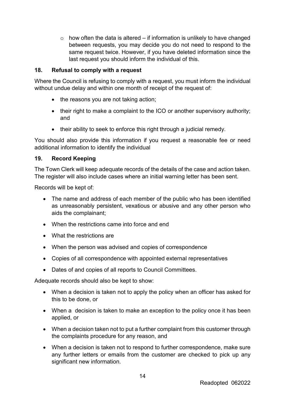$\circ$  how often the data is altered – if information is unlikely to have changed between requests, you may decide you do not need to respond to the same request twice. However, if you have deleted information since the last request you should inform the individual of this.

#### **18. Refusal to comply with a request**

Where the Council is refusing to comply with a request, you must inform the individual without undue delay and within one month of receipt of the request of:

- the reasons you are not taking action;
- their right to make a complaint to the ICO or another supervisory authority; and
- their ability to seek to enforce this right through a judicial remedy.

You should also provide this information if you request a reasonable fee or need additional information to identify the individual

#### **19. Record Keeping**

The Town Clerk will keep adequate records of the details of the case and action taken. The register will also include cases where an initial warning letter has been sent.

Records will be kept of:

- The name and address of each member of the public who has been identified as unreasonably persistent, vexatious or abusive and any other person who aids the complainant;
- When the restrictions came into force and end
- What the restrictions are
- When the person was advised and copies of correspondence
- Copies of all correspondence with appointed external representatives
- Dates of and copies of all reports to Council Committees.

Adequate records should also be kept to show:

- When a decision is taken not to apply the policy when an officer has asked for this to be done, or
- When a decision is taken to make an exception to the policy once it has been applied, or
- When a decision taken not to put a further complaint from this customer through the complaints procedure for any reason, and
- When a decision is taken not to respond to further correspondence, make sure any further letters or emails from the customer are checked to pick up any significant new information.